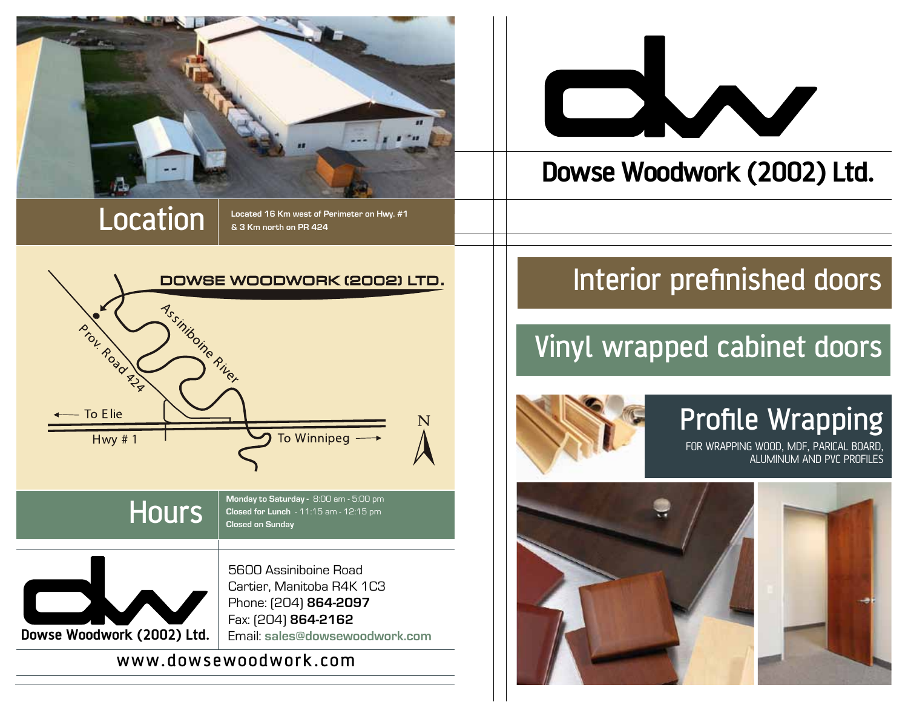

LOCATION  $\int_{\mathcal{S}^3 Km \text{ north on PR }424}^{\mathcal{S}^4}$ **& 3 Km north on PR 424**





#### www.dowsewoodwork.com

# 

#### **Dowse Woodwork (2002) Ltd.**

### Interior prefinished doors

#### Vinyl wrapped cabinet doors



#### Profile Wrapping

FOR WRAPPING WOOD, MDF, PARICAL BOARD, ALUMINUM AND PVC PROFILES